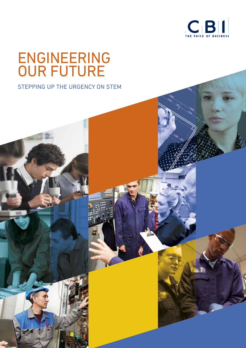

# ENGINEERING OUR FUTURE

STEPPING UP THE URGENCY ON STEM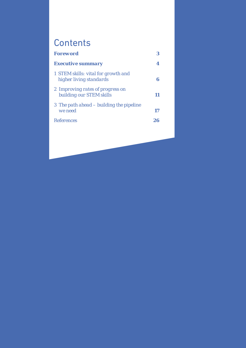# **Contents**

| <b>Foreword</b>                                                |    |  |
|----------------------------------------------------------------|----|--|
| <b>Executive summary</b>                                       | 4  |  |
| 1 STEM skills: vital for growth and<br>higher living standards | 6  |  |
| 2 Improving rates of progress on<br>building our STEM skills   | 11 |  |
| 3 The path ahead – building the pipeline<br>we need            | 17 |  |
| <b>References</b>                                              | 26 |  |
|                                                                |    |  |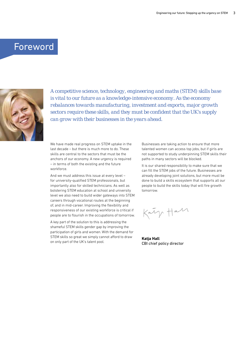# Foreword



*A competitive science, technology, engineering and maths (STEM) skills base is vital to our future as a knowledge-intensive economy. As the economy rebalances towards manufacturing, investment and exports, major growth sectors require these skills, and they must be confident that the UK's supply can grow with their businesses in the years ahead.*

We have made real progress on STEM uptake in the last decade – but there is much more to do. These skills are central to the sectors that must be the anchors of our economy. A new urgency is required – in terms of both the existing and the future workforce.

And we must address this issue at every level – for university-qualified STEM professionals, but importantly also for skilled technicians. As well as bolstering STEM education at school and university level we also need to build wider gateways into STEM careers through vocational routes at the beginning of, and in mid-career. Improving the flexibility and responsiveness of our existing workforce is critical if people are to flourish in the occupations of tomorrow.

A key part of the solution to this is addressing the shameful STEM skills gender gap by improving the participation of girls and women. With the demand for STEM skills so great we simply cannot afford to draw on only part of the UK's talent pool.

Businesses are taking action to ensure that more talented women can access top jobs, but if girls are not supported to study underpinning STEM skills their paths in many sectors will be blocked.

It is our shared responsibility to make sure that we can fill the STEM jobs of the future. Businesses are already developing joint solutions, but more must be done to build a skills ecosystem that supports all our people to build the skills today that will fire growth tomorrow.

Katy Hall

**Katja Hall** CBI chief policy director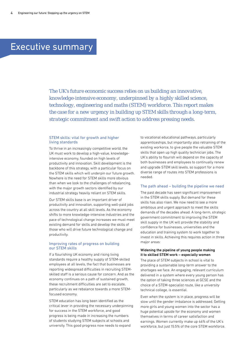# Executive summary

*The UK's future economic success relies on us building an innovative, knowledge-intensive economy, underpinned by a highly skilled science, technology, engineering and maths (STEM) workforce. This report makes the case for a new urgency in building up STEM skills through a long-term, strategic commitment and swift action to address pressing needs.*

# STEM skills: vital for growth and higher living standards

To thrive in an increasingly competitive world, the UK must work to develop a high-value, knowledgeintensive economy, founded on high levels of productivity and innovation. Skill development is the backbone of this strategy, with a particular focus on the STEM skills which will underpin our future growth. Nowhere is the need for STEM skills more obvious than when we look to the challenges of rebalancing, with the major growth sectors identified by our industrial strategy heavily reliant on STEM skills.

Our STEM skills base is an important driver of productivity and innovation, supporting well-paid jobs across the country at all skill levels. As the economy shifts to more knowledge-intensive industries and the pace of technological change increases we must meet existing demand for skills and develop the skills of those who will drive future technological change and productivity.

# Improving rates of progress on building our STEM skills

If a flourishing UK economy and rising living standards require a healthy supply of STEM-skilled employees at all levels, the fact that businesses are reporting widespread difficulties in recruiting STEMskilled staff is a serious cause for concern. And as the economy continues on a path of sustained growth, these recruitment difficulties are set to escalate, particularly as we rebalance towards a more STEMfocused economy.

STEM education has long been identified as the critical lever in providing the necessary underpinning for success in the STEM workforce, and good progress is being made in increasing the numbers of students studying STEM subjects at schools and university. This good progress now needs to expand

to vocational educational pathways, particularly apprenticeships, but importantly also retraining of the existing workorce, to give people the valuable STEM skills that open up high quality technician jobs. The UK's ability to flourish will depend on the capacity of both businesses and employees to continually renew and upgrade STEM skill levels, so support for a more diverse range of routes into STEM professions is needed.

# The path ahead – building the pipeline we need

The past decade has seen significant improvement in the STEM skills supply. But demand for these skills has also risen. We now need to see a more ambitious and urgent approach to meet the skills demands of the decades ahead. A long-term, strategic government commitment to improving the STEM skill supply in the UK will provide the stability and confidence for businesses, universities and the education and training system to work together to invest in skills. Achieving this requires action in three major areas:

# Widening the pipeline of young people making it to skilled STEM work – especially women

The place of STEM subjects in school is vital to providing a sustainable long-term answer to the shortages we face. An engaging, relevant curriculum delivered in a system where every young person has the option of taking three sciences at GCSE and the choice of a STEM-specialist route, like a university technical college, is essential.

Even when the system is in place, progress will be slow until the gender imbalance is addressed. Getting more girls and young women into the sector has a huge potential upside for the economy and women themselves in terms of career satisfaction and earnings. Women currently make up 46% of the UK's workforce, but just 15.5% of the core STEM workforce.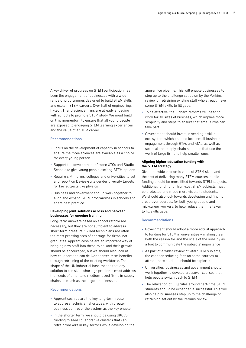A key driver of progress on STEM participation has been the engagement of businesses with a wide range of programmes designed to build STEM skills and explain STEM careers. Over half of engineering, hi-tech, IT and science firms are already engaging with schools to promote STEM study. We must build on this momentum to ensure that all young people are exposed to engaging STEM learning experiences and the value of a STEM career.

### Recommendations

- Focus on the development of capacity in schools to ensure the three sciences are available as a choice for every young person
- Support the development of more UTCs and Studio Schools to give young people exciting STEM options
- Require sixth forms, colleges and universities to set and report on Davies-style gender diversity targets for key subjects like physics
- Business and goverment should work together to align and expand STEM programmes in schools and share best practice.

# Developing joint solutions across and between businesses for ongoing training

Long-term answers based on school reform are necessary, but they are not sufficient to address short-term pressure. Skilled technicians are often the most pressing area of shortage for firms, not graduates. Apprenticeships are an important way of bringing new staff into these roles, and their growth should be encouraged, but we should also look at how collaboration can deliver shorter-term benefits, through retraining of the existing workforce. The shape of the UK industrial base means that any solution to our skills shortage problems must address the needs of small and medium-sized firms in supply chains as much as the largest businesses.

# Recommendations

- Apprenticeships are the key long-term route to address technician shortages, with greater business control of the system as the key enabler.
- In the shorter term, we should be using UKCES funding to seed collaborative clusters that can retrain workers in key sectors while developing the

apprentice pipeline. This will enable businesses to step up to the challenge set down by the Perkins review of retraining existing staff who already have some STEM skills to fill gaps.

- To be effective, the Richard reforms will need to work for all sizes of business, which implies more simplicity and steps to ensure that small firms can take part.
- Government should invest in seeding a skills eco-system which enables local small business engagement through GTAs and ATAs, as well as sectoral and supply-chain solutions that use the work of large firms to help smaller ones.

# Aligning higher education funding with the STEM strategy

Given the wide economic value of STEM skills and the cost of delivering many STEM courses, public funding should be more tilted towards STEM subjects. Additional funding for high-cost STEM subjects must be protected and made more visible to students. We should also look towards developing and finding cross-over courses, for both young people and mid-career workers, to help reduce the time taken to fill skills gaps.

### Recommendations

- Government should adopt a more robust approach to funding for STEM in universities – making clear both the reason for and the scale of the subsidy as a tool to communicate the subjects' importance
- As part of a wider review of vital STEM subjects, the case for reducing fees on some courses to attract more students should be explored
- Universities, businesses and government should work together to develop crossover courses that help people switch back to STEM
- The relaxation of ELQ rules around part-time STEM students should be expanded if successful. This will also help businesses step up to the challenge of retraining set out by the Perkins review.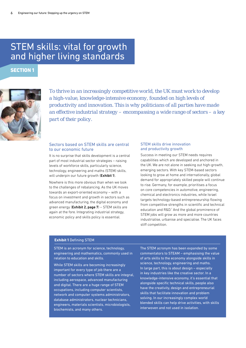# STEM skills: vital for growth and higher living standards

# SECTION 1



*To thrive in an increasingly competitive world, the UK must work to develop a high-value, knowledge-intensive economy, founded on high levels of productivity and innovation. This is why politicians of all parties have made an effective industrial strategy – encompassing a wide range of sectors – a key part of their policy.*

# Sectors based on STEM skills are central to our economic future

It is no surprise that skills development is a central part of most industrial sector strategies – raising levels of workforce skills, particularly science, technology, engineering and maths (STEM) skills, will underpin our future growth (Exhibit 1).

Nowhere is this more obvious than when we look to the challenges of rebalancing. As the UK moves towards an export-oriented economy – with a focus on investment and growth in sectors such as advanced manufacturing, the digital economy and green energy (Exhibit 2, page  $7$ ) – STEM skills are again at the fore. Integrating industrial strategy, economic policy and skills policy is essential.

# STEM skills drive innovation and productivity growth

Success in meeting our STEM needs requires capabilities which are developed and anchored in the UK. We are not alone in seeking out high-growth, emerging sectors. With key STEM-based sectors looking to grow at home and internationally, global demand for appropriately skilled people will continue to rise. Germany, for example, prioritises a focus on core competencies in automotive, engineering, chemical and electronics industries, while Israel targets technology-based entrepreneurship flowing from competitive strengths in scientific and technical education and R&D.<sup>1</sup> And the global prominence of STEM jobs will grow as more and more countries industrialise, urbanise and specialise. The UK faces stiff competition.

### **Exhibit 1** Defining STEM

STEM is an acronym for science, technology, engineering and mathematics, commonly used in relation to education and skills.

While STEM skills are becoming increasingly important for every type of job there are a number of sectors where STEM skills are integral, including aerospace, advanced manufacturing and digital. There are a huge range of STEM occupations, including computer scientists, network and computer systems administrators, database administrators, nuclear technicians, engineers, materials scientists, microbiologists, biochemists, and many others.

The STEM acronym has been expanded by some commentators to STEAM – emphasising the value of arts skills to the economy alongside skills in science, technology, engineering and maths. In large part, this is about design – especially in key industries like the creative sector. In a knowledge-intensive economy, it's essential that alongside specific technical skills, people also have the creativity, design and entrepreneurial skills that facilitate innovation and problem solving. In our increasingly complex world blended skills can help drive activities, with skills interwoven and not used in isolation.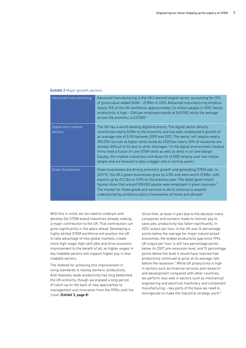# **Exhibit 2 Major growth sectors**

| Advanced manufacturing          | Advanced manufacturing is the UK's second largest sector, accounting for 12%<br>of gross value-added (GVA) $-$ £130bn in 2010. Advanced manufacturing employs<br>nearly 10% of the UK workforce, approximately 2.6 million people in 2010. Sector<br>productivity is high - GVA per employee stands at £49,000, while the average<br>across the economy is £37,000. <sup>2</sup>                                                                                                                                                                                                                                                                                                  |
|---------------------------------|-----------------------------------------------------------------------------------------------------------------------------------------------------------------------------------------------------------------------------------------------------------------------------------------------------------------------------------------------------------------------------------------------------------------------------------------------------------------------------------------------------------------------------------------------------------------------------------------------------------------------------------------------------------------------------------|
| Digital and creative<br>sectors | The UK has a world-beating digital economy. The digital sector directly<br>contributes nearly £69bn to the economy and has seen employment growth of<br>an average rate of 5.5% between 2009 and 2012. The sector will require nearly<br>300,000 recruits at higher skills levels by 2020 but nearly 20% of vacancies are<br>already difficult to fill due to skills shortages. <sup>3</sup> In the digital environment creative<br>firms need a fusion of core STEM skills as well as skills in art and design.<br>Equally, the creative industries contribute 6% of GDP, employ over two million<br>people and are forecast to play a bigger role in coming years. <sup>4</sup> |
| Green businesses                | Green businesses are driving economic growth and generating STEM jobs. In<br>2011/12, the UK's green businesses grew by 4.8% and were worth £128bn, with<br>exports up by £12.2bn or 3.9% on the previous year. The latest government<br>figures show that around 938,000 people were employed in green business. <sup>5</sup><br>The market for these goods and services is set to continue to expand,<br>underpinned by ambitious policy frameworks at home and abroad. <sup>6</sup>                                                                                                                                                                                            |

With this in mind, we too need to underpin and develop the STEM-based industries already making a major contribution to the UK. That contribution can grow significantly in the years ahead. Developing a highly skilled STEM workforce will position the UK to take advantage of new global markets, create more high-wage, high-skill jobs and drive economic improvement to the benefit of all, as higher wages in key tradable sectors will support higher pay in less tradable sectors.

The method for achieving this improvement in living standards is raising workers' productivity. And relatively weak productivity has long bedevilled the UK economy, though we enjoyed a long period of catch-up on the back of new approaches to management and innovation from the 1990s until the crash (Exhibit 3, page 8).

Since then, at least in part due to the decision many companies and workers made to restrain pay to save jobs, productivity has fallen significantly. In 2012, output per hour in the UK was 16 percentage points below the average for major industrialised economies, the widest productivity gap since 1994. UK output per hour is still two percentage points below its 2007 pre-recession level, and 15 percentage points below the level it would have reached had productivity continued to grow at its average rate before the recession.7 While UK productivity is high in sectors such as financial services and research and development compared with other countries, we perform less well in sectors such as mechanical engineering and electrical machinery and component manufacturing – key parts of the base we need to reinvigorate to make the industrial strategy work.<sup>8</sup>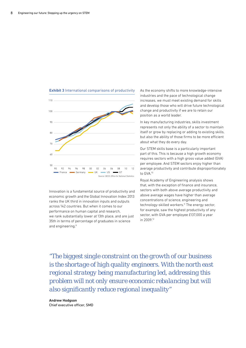

**Exhibit 3** International comparisons of productivity

Innovation is a fundamental source of productivity and economic growth and the Global Innovation Index 2013 ranks the UK third in innovation inputs and outputs across 142 countries. But when it comes to our performance on human capital and research, we rank substantially lower at 13th place, and are just 35th in terms of percentage of graduates in science and engineering.<sup>9</sup>

As the economy shifts to more knowledge-intensive industries and the pace of technological change increases, we must meet existing demand for skills and develop those who will drive future technological change and productivity if we are to retain our position as a world leader.

In key manufacturing industries, skills investment represents not only the ability of a sector to maintain itself or grow by replacing or adding to existing skills, but also the ability of those firms to be more efficient about what they do every day.

Our STEM skills base is a particularly important part of this. This is because a high growth economy requires sectors with a high gross value added (GVA) per employee. And STEM sectors enjoy higher than average productivity and contribute disproportionately to GVA.10

Royal Academy of Engineering analysis shows that, with the exception of finance and insurance, sectors with both above average productivity and above average wages have higher than average concentrations of science, engineering and technology-skilled workers.<sup>11</sup> The energy sector, for example, saw the highest productivity of any sector, with GVA per employee £137,000 a year in 2009.12

*"The biggest single constraint on the growth of our business is the shortage of high quality engineers. With the north east regional strategy being manufacturing led, addressing this problem will not only ensure economic rebalancing but will also significantly reduce regional inequality"*

Andrew Hodgson Chief executive officer, SMD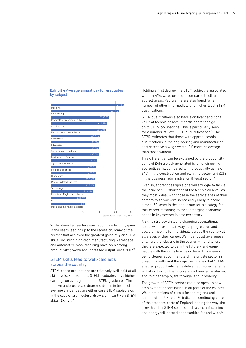

# **Exhibit 4** Average annual pay for graduates by subject

While almost all sectors saw labour productivity gains in the years leading up to the recession, many of the sectors that achieved the greatest gains rely on STEM skills, including high-tech manufacturing. Aerospace and automotive manufacturing have seen strong productivity growth and increased output since 2007.12

# STEM skills lead to well-paid jobs across the country

STEM-based occupations are relatively well-paid at all skill levels. For example, STEM graduates have higher earnings on average than non-STEM graduates. The top five undergraduate degree subjects in terms of average annual pay are either core STEM subjects or, in the case of architecture, draw significantly on STEM skills (Exhibit 4).

Holding a first degree in a STEM subject is associated with a 4.47% wage premium compared to other subject areas. Pay premia are also found for a number of other intermediate and higher-level STEM qualifications.

STEM qualifications also have significant additional value at technician level if participants then go on to STEM occupations. This is particularly seen for a number of Level 3 STEM qualifications.<sup>14</sup> The CEBR estimates that those with apprenticeship qualifications in the engineering and manufacturing sector receive a wage worth 12% more on average than those without.

This differential can be explained by the productivity gains of £414 a week generated by an engineering apprenticeship, compared with productivity gains of £401 in the construction and planning sector and £268 in the business, administration & legal sector.<sup>15</sup>

Even so, apprenticeships alone will struggle to tackle the issue of skill shortages at the technician level, as they mostly deal with those in the early stages of their careers. With workers increasingly likely to spend almost 50 years in the labour market, a strategy for mid-career retraining to meet emerging economic needs in key sectors is also necessary.

A skills strategy linked to changing occupational needs will provide pathways of progression and upward mobility for individuals across the country at all stages of their career. We must boost awareness of where the jobs are in the economy – and where they are expected to be in the future – and equip people with the skills to access them. This means being clearer about the role of the private sector in creating wealth and the improved wages that STEMenabled productivity gains deliver. Spill-over benefits will also flow to other workers via knowledge sharing and to other employers through labour mobility.

The growth of STEM sectors can also open up new employment opportunities in all parts of the country. While projections of output for the regions and nations of the UK to 2020 indicate a continuing pattern of the southern parts of England leading the way, the growth of key STEM sectors such as manufacturing and energy will spread opportunities far and wide.<sup>16</sup>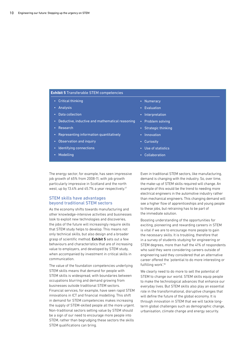# **Exhibit 5** Transferable STEM competencies

- Critical thinking
- Analysis
- Data collection
- Deductive, inductive and mathematical reasoning
- Research
- Representing information quantitatively
- Observation and inquiry
- Identifying connections
- Modelling
- Numeracy
- Evaluation
- **Interpretation**
- Problem solving
- Strategic thinking
- Innovation
- **Curiosity**
- Use of statistics
- Collaboration

The energy sector, for example, has seen impressive job growth of 65% from 2008-11, with job growth particularly impressive in Scotland and the north west, up by 13.4% and 45.7% a year respectively.17

# STEM skills have advantages beyond traditional STEM sectors

As the economy shifts towards manufacturing and other knowledge-intensive activities and businesses look to exploit new technologies and discoveries, the jobs of the future will increasingly require skills that STEM study helps to develop. This means not only technical skills, but also design and a broader grasp of scientific method. Exhibit 5 sets out a few behaviours and characteristics that are of increasing value to employers, and developed by STEM study, when accompanied by investment in critical skills in communication.

The value of the foundation competencies underlying STEM skills means that demand for people with STEM skills is widespread, with boundaries between occupations blurring and demand growing from businesses outside traditional STEM sectors. Financial services, for example, have seen rapid STEM innovations in ICT and financial modelling. This shift in demand for STEM competencies makes increasing the supply of STEM-skilled people all the more urgent. Non-traditional sectors setting value by STEM should be a sign of our need to encourage more people into STEM, rather than begrudging these sectors the skills STEM qualifications can bring.

Even in traditional STEM sectors, like manufacturing, demand is changing with the industry. So, over time, the make-up of STEM skills required will change. An example of this would be the trend to needing more electrical engineers in the automotive industry rather than mechanical engineers. This changing demand will see a higher flow of apprenticeships and young people to these jobs, but retraining has to be part of the immediate solution.

Boosting understanding of the opportunities for exciting, pioneering and rewarding careers in STEM is vital if we are to encourage more people to gain the necessary skills. It is troubling, therefore that in a survey of students studying for engineering or STEM degrees, more than half the 41% of respondents who said they were considering careers outside of engineering said they considered that an alternative career offered the 'potential to do more interesting or fulfilling work'.18

We clearly need to do more to sell the potential of STEM to change our world. STEM skills equip people to make the technological advances that enhance our everyday lives. But STEM skills also play an essential role in the transformational, disruptive changes that will define the future of the global economy. It is through innovation in STEM that we will tackle longterm global challenges such as demographic change, urbanisation, climate change and energy security.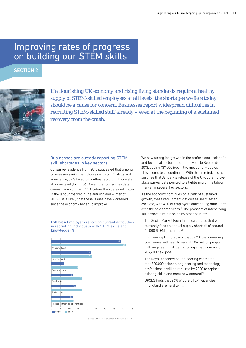# Improving rates of progress on building our STEM skills

# **SECTION 2**



*If a flourishing UK economy and rising living standards require a healthy supply of STEM-skilled employees at all levels, the shortages we face today should be a cause for concern. Businesses report widespread difficulties in recruiting STEM-skilled staff already – even at the beginning of a sustained recovery from the crash.*

# Businesses are already reporting STEM skill shortages in key sectors

CBI survey evidence from 2013 suggested that among businesses seeking employees with STEM skills and knowledge, 39% faced difficulties recruiting those staff at some level (Exhibit 6). Given that our survey data comes from summer 2013, before the sustained upturn in the labour market in the autumn and winter of 2013-4, it is likely that these issues have worsened since the economy began to improve.

### **Exhibit 6** Employers reporting current difficulties in recruiting individuals with STEM skills and knowledge (%)



We saw strong job growth in the professional, scientific and technical sector through the year to September 2013, adding 137,000 jobs – the most of any sector. This seems to be continuing. With this in mind, it is no surprise that January's release of the UKCES employer skills survey data pointed to a tightening of the labour market in several key sectors.

As the economy continues on a path of sustained growth, these recruitment difficulties seem set to escalate, with 41% of employers anticipating difficulties over the next three years.<sup>19</sup> The prospect of intensifying skills shortfalls is backed by other studies:

- The Social Market Foundation calculates that we currently face an annual supply shortfall of around 40.000 STEM graduates<sup>20</sup>
- Engineering UK forecasts that by 2020 engineering companies will need to recruit 1.86 million people with engineering skills, including a net increase of 204,400 new jobs<sup>21</sup>
- The Royal Academy of Engineering estimates that 820,000 science, engineering and technology professionals will be required by 2020 to replace existing skills and meet new demand<sup>22</sup>
- UKCES finds that 26% of core STEM vacancies in England are hard to fill.<sup>23</sup>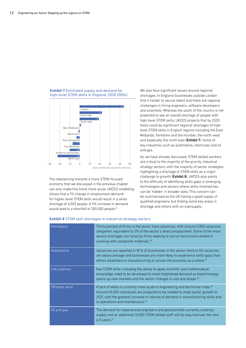



The rebalancing towards a more STEM-focused economy that we discussed in the previous chapter can only make this trend more acute. UKCES modelling shows that a 1% change in employment demand for higher-level STEM skills would result in a skills shortage of 6,500 people. A 5% increase in demand would lead to a shortfall of 200,000 people.<sup>24</sup>

We also face significant issues around regional shortages. In England, businesses outside London find it harder to secure talent and there are regional challenges in hiring engineers, software developers and scientists. Whereas the south of the country is not predicted to see an overall shortage of people with high-level STEM skills, UKCES projects that by 2020 there could be significant regional shortages of highlevel STEM skills in English regions including the East Midlands, Yorkshire and the Humber, the north west and especially the north east (**Exhibit 7**), home of key industries such as automotive, chemicals and oil and gas.

As we have already discussed, STEM skilled workers are critical to the majority of the priority industrial strategy sectors, with the majority of sector strategies highlighting a shortage of STEM skills as a major challenge to growth (Exhibit 8). UKCES also points to the difficulty of identifying skills gaps in emerging technologies and sectors where skills mismatches can be 'hidden' in broader data. This concern can be summarised as the UK having a good supply of qualified engineers, but finding some key areas in shortage and others with an oversupply.

#### **Exhibit 8** STEM skill shortages in industrial strategy sectors

| Aerospace     | Thirty percent of firms in the sector have vacancies, with around 2,000 vacancies<br>altogether, equivalent to 2% of the sector's direct employment. Some of the most<br>severe shortages are faced by firms seeking to recruit technicians skilled in<br>working with composite materials. <sup>26</sup>        |
|---------------|------------------------------------------------------------------------------------------------------------------------------------------------------------------------------------------------------------------------------------------------------------------------------------------------------------------|
| Automotive    | Vacancies are reported in 18 % of businesses in the sector. Hard to fill vacancies<br>are above average and businesses are more likely to experience skills gaps than<br>others elsewhere in manufacturing or across the economy as a whole. <sup>27</sup>                                                       |
| Life sciences | Key STEM skills, including the ability to apply scientific and mathematical<br>knowledge, need to be developed to meet heightened demand as biotechnology<br>opens up new markets and the sector changes in size and shape. <sup>28</sup>                                                                        |
| Offshore wind | A lack of skills is currently most acute in engineering and technician roles. <sup>29</sup><br>Around 45,000 individuals are projected to be needed to meet sector growth to<br>2021, with the greatest increase in volume of demand in manufacturing skills and<br>in operations and maintenance. <sup>30</sup> |
| Oil and gas   | The demand for experienced engineers and geoscientists currently outstrips<br>supply and an additional 15,000 STEM skilled staff will be required over the next<br>$4-5$ years. $31$                                                                                                                             |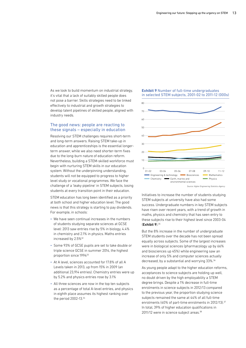As we look to build momentum on industrial strategy, it's vital that a lack of suitably skilled people does not pose a barrier. Skills strategies need to be linked effectively to industrial and growth strategies to develop talent pipelines of skilled people, aligned with industry needs.

# The good news: people are reacting to these signals – especially in education

Resolving our STEM challenges requires short-term and long-term answers. Raising STEM take-up in education and apprenticeships is the essential longerterm answer, while we also need shorter-term fixes due to the long-burn nature of education reform. Nevertheless, building a STEM-skilled workforce must begin with nurturing STEM skills in our education system. Without the underpinning understanding. students will not be equipped to progress to higher level study or vocational programmes. We face the challenge of a 'leaky pipeline' in STEM subjects, losing students at every transition point in their education.

STEM education has long been identified as a priority at both school and higher education level. The good news is that this strategy is starting to pay dividends. For example, in schools:

- We have seen continual increases in the numbers of students studying separate sciences at GCSE level: 2013 saw entries rise by 5% in biology, 4.4% in chemistry and 2.1% in physics. Maths entries increased by 2.5%32
- Some 93% of GCSE pupils are set to take double or triple science GCSE in summer 2014, the highest proportion since 199433
- At A level, sciences accounted for 17.8% of all A Levels taken in 2013, up from 15% in 2009 (an additional 23,914 entries). Chemistry entries were up by 5.2% and physics entries rose by 3.1%
- All three sciences are now in the top ten subjects as a percentage of total A-level entries, and physics in eighth place assumes its highest ranking over the period 2002-13.34





Initiatives to increase the number of students studying STEM subjects at university have also had some success. Undergraduate numbers in key STEM subjects have risen over recent years, with a trend of growth in maths, physics and chemistry that has seen entry to these subjects rise to their highest level since 2003-04 (Exhibit 9).35

But the 8% increase in the number of undergraduate STEM students over the decade has not been spread equally across subjects. Some of the largest increases were in biological sciences (pharmacology up by 66% and biosciences up 45%) while engineering saw an increase of only 5% and computer sciences actually decreased, by a substantial and worrying 33%.<sup>36</sup>

As young people adapt to the higher education reforms, acceptances to science subjects are holding up well, no doubt driven by the high employability a STEM degree brings. Despite a 1% decrease in full-time enrolments in science subjects in 2012/13 compared to the previous year, the proportion studying science subjects remained the same at 44% of all full-time enrolments (40% of part-time enrolments in 2012/13).<sup>37</sup> In total, 39% of higher education qualifications in 2011/12 were in science subject areas.<sup>38</sup>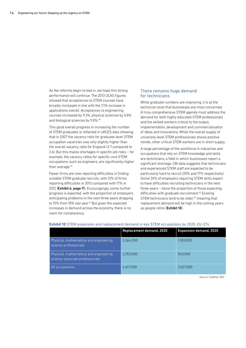As fee reforms begin to bed in, we hope this strong performance will continue. The 2013 UCAS figures showed that acceptances to STEM courses have broadly increased in line with the 7.1% increase in applications overall. Acceptances to engineering courses increased by 9.3%, physical sciences by 5.8% and biological sciences by 9.8%.<sup>39</sup>

This good overall progress in increasing the number of STEM graduates is reflected in UKCES data showing that in 2007 the vacancy ratio for graduate-level STEM occupation vacancies was only slightly higher than the overall vacancy ratio for England (2.7 compared to 2.6). But this masks shortages in specific job roles – for example, the vacancy ratios for specific core STEM occupations, such as engineers, are significantly higher than average.<sup>40</sup>

Fewer firms are now reporting difficulties in finding suitable STEM graduate recruits, with 12% of firms reporting difficulties in 2013 compared with 17% in 2012 (Exhibit 6, page 11). Encouragingly, some further progress is expected, with the proportion of employers anticipating problems in the next three years dropping to 10% from 18% last year.<sup>41</sup> But given the expected increases in demand across the economy, there is no room for complacency.

# There remains huge demand for technicians

While graduate numbers are improving, it is at the technician level that businesses are most concerned. A truly comprehensive STEM agenda must address the demand for both highly educated STEM professionals and the skilled workers critical to the output, implementation, development and commercialisation of ideas and innovations. While the overall supply of university-level STEM professionals shows positive trends, other critical STEM workers are in short supply.

A large percentage of the workforce in industries and occupations that rely on STEM knowledge and skills are technicians, a field in which businesses report a significant shortage. CBI data suggests that technicians and experienced STEM staff are expected to be particularly hard to recruit (20% and 17% respectively). Some 20% of employers requiring STEM skills expect to have difficulties recruiting technicians in the next three years – twice the proportion of those expecting difficulties with graduate recruitment.<sup>42</sup> Existing STEM technicians tend to be older,<sup>43</sup> meaning that replacement demand will be high in the coming years as people retire (Exhibit 10).

|                                                                           | Replacement demand, 2020 | <b>Expansion demand, 2020</b> |
|---------------------------------------------------------------------------|--------------------------|-------------------------------|
| Physical, mathematical and engineering<br>science professionals           | 2,364,000                | 1,183,000                     |
| Physical, mathematical and engineering<br>science associate professionals | 2,253,000                | 543.000                       |
| All occupations                                                           | 4,617,000                | 7,627,000                     |

# **Exhibit 10** STEM expansion and replacement demand in key STEM occupations by 2020, EU-27s

Source: Cedefop, 2012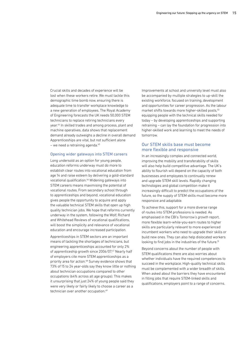Crucial skills and decades of experience will be lost when these workers retire. We must tackle this demographic time bomb now, ensuring there is adequate time to transfer workplace knowledge to a new generation of employees. The Royal Academy of Engineering forecasts the UK needs 50,000 STEM technicians to replace retiring technicians every year.44 In skilled trades and among process, plant and machine operatives, data shows that replacement demand already outweighs a decline in overall demand Apprenticeships are vital, but not sufficient alone  $-$  we need a retraining agenda. $45$ 

# Opening wider gateways into STEM careers

Long undersold as an option for young people, education reforms underway must do more to establish clear routes into vocational education from age 14 and raise esteem by delivering a gold-standard vocational qualification.46 Widening gateways into STEM careers means maximising the potential of vocational routes. From secondary school through to apprenticeships and beyond, vocational education gives people the opportunity to acquire and apply the valuable technical STEM skills that open up high quality technician jobs. We hope that reforms currently underway in the system, following the Wolf, Richard and Whitehead Reviews of vocational qualifications, will boost the simplicity and relevance of vocational education and encourage increased participation.

Apprenticeships in STEM sectors are an important means of tackling the shortages of technicians, but engineering apprenticeships accounted for only 2% of apprenticeship growth since 2006/07.<sup>47</sup> Nearly half of employers cite more STEM apprenticeships as a priority area for action.<sup>48</sup> Survey evidence shows that 73% of 15 to 24 year-olds say they know little or nothing about technician occupations compared to other occupations (64% across all age groups). This makes it unsurprising that just 24% of young people said they were very likely or fairly likely to choose a career as a technician over another occupation.<sup>49</sup>

Improvements at school and university level must also be accompanied by multiple strategies to up-skill the existing workforce, focused on training, development and opportunities for career progression. As the labour market shifts towards more higher-skilled posts.<sup>50</sup> equipping people with the technical skills needed for today – by developing apprenticeships and supporting retraining – can lay the foundation for progression into higher-skilled work and learning to meet the needs of tomorrow.

# Our STEM skills base must become more flexible and responsive

In an increasingly complex and connected world, improving the mobility and transferability of skills will also help build competitive advantage. The UK's ability to flourish will depend on the capacity of both businesses and employees to continually renew and upgrade STEM skill levels. Rapidly changing technologies and global competition make it increasingly difficult to predict the occupations of the future, so the supply of STEM skills must become more responsive and adaptable.

To achieve this, support for a more diverse range of routes into STEM professions is needed. As emphasised in the CBI's *Tomorrow's growth* report, more flexible learn-while-you-earn routes to higher skills are particularly relevant to more experienced incumbent workers who need to upgrade their skills or build new ones. They can also help dislocated workers looking to find jobs in the industries of the future.<sup>51</sup>

Beyond concerns about the number of people with STEM qualifications there are also worries about whether individuals have the required competences to succeed in the workplace. High-quality technical skills must be complemented with a wider breadth of skills. When asked about the barriers they have encountered in filling jobs that require STEM-linked skills and qualifications, employers point to a range of concerns.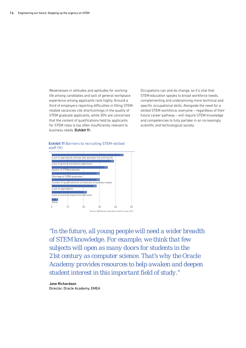Weaknesses in attitudes and aptitudes for working life among candidates and lack of general workplace experience among applicants rank highly. Around a third of employers reporting difficulties in filling STEMrelated vacancies cite shortcomings in the quality of STEM graduate applicants, while 30% are concerned that the content of qualifications held by applicants for STEM roles is too often insufficiently relevant to business needs (Exhibit 11).

STEM education speaks to broad workforce needs, complementing and underpinning more technical and specific occupational skills. Alongside the need for a skilled STEM workforce, everyone – regardless of their future career pathway – will require STEM knowledge and competencies to fully partake in an increasingly scientific and technological society.

Occupations can and do change, so it's vital that

# **Exhibit 11** Barriers to recruiting STEM-skilled staff (%)



*"In the future, all young people will need a wider breadth of STEM knowledge. For example, we think that few subjects will open as many doors for students in the 21st century as computer science. That's why the Oracle Academy provides resources to help awaken and deepen student interest in this important field of study."*

Jane Richardson Director, Oracle Academy, EMEA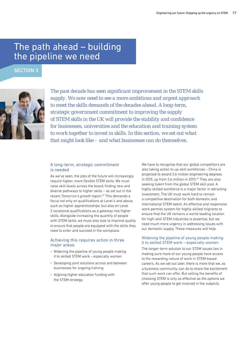# The path ahead – building the pipeline we need

# SECTION 3



*The past decade has seen significant improvement in the STEM skills supply. We now need to see a more ambitious and urgent approach to meet the skills demands of the decades ahead. A long-term, strategic government commitment to improving the supply of STEM skills in the UK will provide the stability and confidence for businesses, universities and the education and training system to work together to invest in skills. In this section, we set out what that might look like – and what businesses can do themselves.*

# A long-term, strategic commitment is needed

As we've seen, the jobs of the future will increasingly require higher, more flexible STEM skills. We must raise skill levels across the board, finding new and diverse pathways to higher skills – as set out in the recent *Tomorrow's growth* report.52 This demands a focus not only on qualifications at Level 4 and above, such as higher apprenticeships, but also on Level 3 vocational qualifications as a gateway into higher skills. Alongside increasing the quantity of people with STEM skills, we must also look to improve quality to ensure that people are equipped with the skills they need to enter and succeed in the workplace.

# Achieving this requires action in three major areas:

- Widening the pipeline of young people making it to skilled STEM work – especially women
- Developing joint solutions across and between businesses for ongoing training
- Aligning higher education funding with the STEM strategy.

We have to recognise that our global competitors are also taking action to up-skill workforces – China is projected to award 3.6 million engineering degrees in 2015, up from 2.6 million in  $2010$ .<sup>53</sup> They are also seeking talent from the global STEM skill pool. A highly skilled workforce is a major factor in attracting investment. The UK must work hard to remain a competitive destination for both domestic and international STEM talent. An effective and responsive work permits system for highly-skilled migrants to ensure that the UK remains a world-leading location for high-skill STEM industries is essential, but we need much more urgency in addressing issues with our domestic supply. These measures will help.

# Widening the pipeline of young people making it to skilled STEM work – especially women

The longer-term solution to our STEM issues lies in making sure more of our young people have access to the rewarding nature of work in STEM-based careers. As we set out later, there is more that we, as a business community, can do to share the excitement that such work can offer. But selling the benefits of choosing STEM is only as effective as the options we offer young people to get involved in the subjects.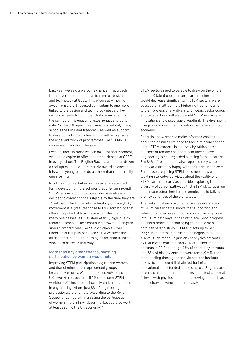Last year, we saw a welcome change in approach from government on the curriculum for design and technology at GCSE. This progress – moving away from a craft-focused curriculum to one more linked to the design and technology needs of key sectors – needs to continue. That means ensuring the curriculum is engaging, experiential and up to date. As the CBI report *First steps* pointed out, giving schools the time and freedom – as well as support to develop high-quality teaching – will help ensure the excellent work of programmes like STEMNET continues throughout the year.

Even so, there is more we can do. First and foremost, we should aspire to offer the three sciences at GCSE in every school. The English Baccalaureate has driven a real uptick in take-up of double award science, but it is when young people do all three that routes really open for them.

In addition to this, but in no way as a replacement for it, developing more schools that offer an in-depth STEM-led curriculum to those who have already decided to commit to the subjects by the time they are 14 will help. The University Technology College (UTC) movement is a great response to this, something that offers the potential to achieve a long-term aim of many businesses: a UK system of truly high-quality technical schools. Their continued growth – alongside similar programmes like Studio Schools – will underpin our supply of skilled STEM workers and offer a more hands-on learning experience to those who learn better in that way.

# More than any other change, boosting participation by women would help

Improving STEM participation by girls and women, and that of other underrepresented groups, must be a policy priority. Women make up 46% of the UK's workforce, but just 15.5% of the core STEM workforce.54 They are particularly underrepresented in engineering, where just 8% of engineering professionals are female. According to the Royal Society of Edinburgh, increasing the participation of women in the STEM labour market could be worth at least £2bn to the UK economy.55

STEM sectors need to be able to draw on the whole of the UK talent pool. Concerns around shortfalls would decrease significantly if STEM sectors were successful in attracting a higher number of women to their professions. A diversity of ideas, backgrounds and perspectives will also benefit STEM vibrancy and innovation, and discourage groupthink. The diversity it brings would seed the innovation that is so vital to our economy.

For girls and women to make informed choices about their futures we need to tackle misconceptions about STEM careers. In a survey by Atkins, three quarters of female engineers said they believe engineering is still regarded as being 'a male career'. But 84% of respondents also reported they were happy or extremely happy with their career choice.<sup>56</sup> Businesses requiring STEM skills need to work at tackling stereotypical views about the reality of a STEM career as early as possible, exploring the diversity of career pathways that STEM skills open up and encouraging their female employees to talk about their experiences of the workplace.

The leaky pipeline of women at successive stages of STEM career paths shows that supporting and retaining women is as important as attracting more into STEM pathways in the first place. Good progress has been made in encouraging young people of both genders to study STEM subjects up to GCSE (page 13) but female participation begins to fall at A-level. Girls made up just 21% of physics entrants, 39% of maths entrants, and 29% of further maths entrants in 2013 (although 48% of chemistry entrants and 58% of biology entrants were female).<sup>57</sup> Rather than tackling these gender divisions, the Institute of Physics has found that almost half of coeducational state-funded schools across England are strengthening gender imbalances in subject choice at A-level, with physics and maths showing a male bias and biology showing a female bias.<sup>58</sup>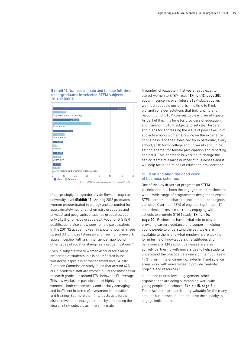



Unsurprisingly this gender-divide flows through to university level (Exhibit 12). Among 2012 graduates, women predominated in biology and accounted for approximately half of all chemistry graduates and physical and geographical science graduates, but only 21.5% of physics graduates.<sup>59</sup> Vocational STEM qualifications also show poor female participation. In the 2011/12 academic year in England women made up just 3% of those taking an engineering framework apprenticeship, with a similar gender gap found in other types of vocational engineering qualifications.<sup>60</sup>

Even in subjects where women account for a large proportion of students this is not reflected in the workforce, especially at management level. A 2012 European Commission study found that around 42% of UK academic staff are women but at the most senior research grade it is around 17%, below the EU average. This low workplace participation of highly trained women is both economically and socially damaging, and inefficient in terms of investment in education and training. But more than this, it acts as a further disincentive to the next generation by embedding the idea of STEM subjects as inherently male.

A number of valuable initiatives already exist to attract women to STEM roles (Exhibit 13, page 20). but with concerns over future STEM skill supplies we must redouble our efforts. It is time to think big, and consider solutions that link funding and recognition of STEM courses to clear diversity goals. As part of this, it is time for providers of education and training in STEM subjects to set clear targets and plans for addressing the issue of poor take-up of subjects among women. Drawing on the experience of business, and the Davies review in particular, every school, sixth form, college and university should be setting a target for female participation and reporting against it. This approach is working to change the senior teams of a large number of businesses and it will help focus the minds of education providers too.

# Build on and align the good work of business schemes

One of the key drivers of progress on STEM participation has been the engagement of businesses with a wide range of programmes designed to explain STEM careers and share the excitement the subjects can offer. Over half (52%) of engineering, hi-tech, IT and science firms are currently engaging with schools to promote STEM study (Exhibit 14, page 20). Businesses have a vital role to play in providing careers guidance and support – helping young people to understand the pathways are available to them, and what employers are looking for in terms of knowledge, skills, attitudes and behaviours. STEM sector businesses are also actively partnering with universities to help students understand the practical relevance of their courses – 47% firms in the engineering, hi-tech/IT and science areas work with universities to provide 'real-life' projects and resources.<sup>61</sup>

In addition to firm-level engagement, other organisations are doing outstanding work with young people and schools (Exhibit 15, page 21). These schemes are particularly valuable for the many smaller businesses that do not have the capacity to engage individually.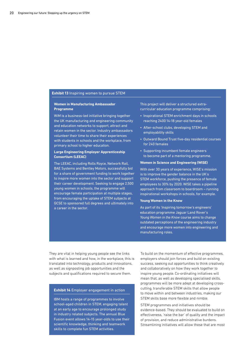# **Exhibit 13** Inspiring women to pursue STEM

# **Women in Manufacturing Ambassador Programme**

WiM is a business-led initiative bringing together the UK manufacturing and engineering community and education networks to support, attract and retain women in the sector. Industry ambassadors volunteer their time to share their experiences with students in schools and the workplace, from primary school to higher education.

# **Large Engineering Employer Apprenticeship Consortium (LEEAC)**

The LEEAC, including Rolls Royce, Network Rail, BAE Systems and Bentley Motors, successfully bid for a share of government funding to work together to inspire more women into the sector and support their career development. Seeking to engage 2,500 young women in schools, the programme will encourage female participation at multiple stages, from encouraging the uptake of STEM subjects at GCSE to sponsored full degrees and ultimately into a career in the sector.

This project will deliver a structured extracurricular education programme comprising:

- Inspirational STEM enrichment days in schools reaching 2400 14-18 year-old females
- After-school clubs, developing STEM and employability skills
- Outward Bound Trust five-day residential courses for 240 females
- Supporting incumbent female engineers to become part of a mentoring programme.

### **Women in Science and Engineering (WISE)**

With over 30 years of experience, WISE's mission is to improve the gender balance in the UK's STEM workforce, pushing the presence of female employees to 30% by 2020. WISE takes a pipeline approach from classroom to boardroom – running inspirational workshops in schools, for example.

# **Young Women in the Know**

As part of its 'Inspiring tomorrow's engineers' education programme Jaguar Land Rover's *Young Women in the Know* course aims to change outdated perceptions of the engineering industry and encourage more women into engineering and manufacturing roles.

They are vital in helping young people see the links with what is learned and how, in the workplace, this is translated into technology, products and innovations, as well as signposting job opportunities and the subjects and qualifications required to secure them.

# **Exhibit 14** Employer engagement in action

IBM hosts a range of programmes to involve school-aged children in STEM, engaging talent at an early age to encourage prolonged study in industry related subjects. The annual Blue Fusion event allows 14-15 year-olds to use their scientific knowledge, thinking and teamwork skills to complete fun STEM activities.

To build on the momentum of effective programmes, employers should join forces and build on existing success, seeking out opportunities to think creatively and collaboratively on how they work together to inspire young people. Co-ordinating initiatives will mean that, as well as developing specialised skills, programmes will be more adept at developing crosscutting, transferable STEM skills that allow people to move within and between industries, making our STEM skills base more flexible and nimble.

STEM programmes and initiatives should be evidence-based. They should be evaluated to build on effectiveness, 'raise the bar' of quality and the impact of provision, and reduce administrative burdens. Streamlining initiatives will allow those that are most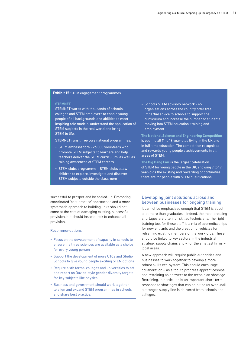# **Exhibit 15** STEM engagement programmes

#### **STEMNET**

STEMNET works with thousands of schools, colleges and STEM employers to enable young people of all backgrounds and abilities to meet inspiring role models, understand the application of STEM subjects in the real world and bring STEM to life.

STEMNET runs three core national programmes:

- STEM ambassadors 26,000 volunteers who promote STEM subjects to learners and help teachers deliver the STEM curriculum, as well as raising awareness of STEM careers
- STEM clubs programme STEM clubs allow children to explore, investigate and discover STEM subjects outside the classroom

successful to prosper and be scaled-up. Promoting coordinated 'best practice' approaches and a more systematic approach to building links should not come at the cost of damaging existing, successful provision, but should instead look to enhance all provision.

#### Recommendations

- Focus on the development of capacity in schools to ensure the three sciences are available as a choice for every young person
- Support the development of more UTCs and Studio Schools to give young people exciting STEM options
- Require sixth forms, colleges and universities to set and report on Davies-style gender diversity targets for key subjects like physics
- Business and government should work together to align and expand STEM programmes in schools and share best practice.

• Schools STEM advisory network - 45 organisations across the country offer free, impartial advice to schools to support the curriculum and increase the number of students moving into STEM education, training and employment.

**The National Science and Engineering Competition** is open to all 11 to 18 year-olds living in the UK and in full-time education. The competition recognises and rewards young people's achievements in all areas of STEM.

**The Big Bang Fair** is the largest celebration of STEM for young people in the UK, showing 7 to 19 year-olds the existing and rewarding opportunities there are for people with STEM qualifications.

# Developing joint solutions across and between businesses for ongoing training

It cannot be emphasised enough that STEM is about a lot more than graduates – indeed, the most pressing shortages are often for skilled technicians. The right training tool for these staff is a mix of apprenticeships for new entrants and the creation of vehicles for retraining existing members of the workforce. These should be linked to key sectors in the industrial strategy, supply chains and – for the smallest firms – local areas.

A new approach will require public authorities and businesses to work together to develop a more robust skills eco-system. This should encourage collaboration – as a tool to progress apprenticeships and retraining as answers to the technician shortage. Retraining, in particular, is an important short-term response to shortages that can help tide us over until a stronger supply line is delivered from schools and colleges.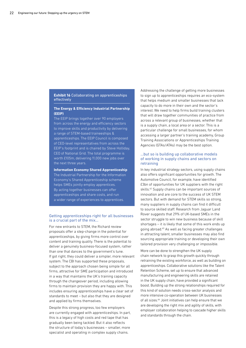**Exhibit 16** Collaborating on apprenticeships effectively

# **The Energy & Efficiency Industrial Partnership (EEIP)**

The EEIP brings together over 90 employers from across the energy and efficiency sectors to improve skills and productivity by delivering a range of STEM-based traineeships & apprenticeships. The EEIP Council is composed of CEO-level representatives from across the EEIP's footprint and is chaired by Steve Holliday, CEO of National Grid. The total programme is worth £105m, delivering 11,000 new jobs over the next three years.

### **Information Economy Shared Apprenticeship**

The Industrial Partnership for the Information Economy's Shared Apprenticeship scheme helps SMEs jointly employ apprentices. By acting together businesses can offer apprenticeships and share costs, and run a wider range of experiences to apprentices.

# Getting apprenticeships right for all businesses is a crucial part of the mix…

For new entrants to STEM, the Richard review proposals offer a step-change in the potential for apprenticeships, by giving firms more control over content and training quality. There is the potential to deliver a genuinely business-focused system, rather than one that dances to the government's tune. If got right, they could deliver a simpler, more relevant system. The CBI has supported these proposals, subject to the approach chosen being simple for all firms, attractive for SME participation and introduced in a way that maintains the UK's training capacity through the changeover period, including allowing firms to maintain provision they are happy with. This includes ensuring apprenticeships have a clear set of standards to meet – but also that they are designed and applied by firms themselves.

Despite this strong progress, too few employers are currently engaged with apprenticeships. In part, this is a legacy of high costs and red tape that has gradually been being tackled. But it also reflects the structure of today's businesses – smaller, more specialist and operating in complex supply chains.

Addressing the challenge of getting more businesses to sign up to apprenticeships requires an eco-system that helps medium and smaller businesses that lack capacity to do more in their own and the sector's interest. We need to help firms build training clusters that will draw together communities of practice from across a relevant group of businesses, whether that is a supply chain, a local area or a sector. This is a particular challenge for small businesses, for whom accessing a larger partner's training academy, Group Training Associations or Apprenticeships Training Agencies (GTAs/ATAs) may be the best option.

# …but so is building up collaborative models of working in supply chains and sectors on retraining

In key industrial strategy sectors, using supply chains also offers significant opportunities for growth. The Automotive Council, for example, have identified £3bn of opportunities for UK suppliers with the right skills.<sup>62</sup> Supply chains can be important sources of innovation and are core to the success of UK STEM sectors. But with demand for STEM skills so strong, many suppliers in supply chains can find it difficult to source skilled staff. Research from Jaguar Land Rover suggests that 29% of UK-based SMEs in the sector struggle to win new business because of skill shortages – it is likely that some of this work ends up going abroad.63 As well as facing greater challenges in attracting talent, smaller businesses may also find sourcing appropriate training or developing their own tailored provision very challenging or impossible.

More can be done to strengthen the UK supply chain network to grasp this growth quickly through retraining the existing workforce, as well as building on apprenticeships. Collaborative solutions like the Talent Retention Scheme, set up to ensure that advanced manufacturing and engineering skills are retained in the UK supply chain, have provided a significant boost. Building up the strong relationships required for this kind of solution needs cross-sector analysis and more intensive co-operation between UK businesses of all sizes.<sup>64</sup> Joint initiatives can help ensure that we are developing the right mix and agility of skills, with employer collaboration helping to cascade higher skills and standards through the chain.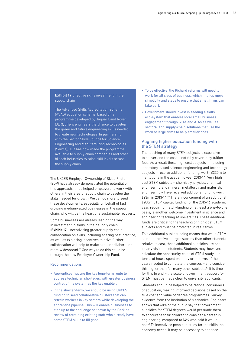# **Exhibit 17** Effective skills investment in the supply chain

The Advanced Skills Accreditation Scheme (ASAS) education scheme, based on a programme developed by Jaguar Land Rover (JLR), offers engineers the chance to develop the green and future engineering skills needed to create new technologies. In partnership with the Sector Skills Council for Science, Engineering and Manufacturing Technologies (Semta), JLR has now made the programme available to supply chain companies and other hi-tech industries to raise skill levels across the supply chain.

The UKCES Employer Ownership of Skills Pilots (EOP) have already demonstrated the potential of this approach. It has helped employers to work with others in their area or supply chain to develop the skills needed for growth. We can do more to seed these developments, especially on behalf of fast growing medium-sized businesses in the supply chain, who will be the heart of a sustainable recovery.

Some businesses are already leading the way in investment in skills in their supply chain (Exhibit 17). Incentivising greater supply chain collaboration on skills, including sharing best practice, as well as exploring incentives to drive further collaboration will help to make similar collaboration more widespread.65 One way to do this could be through the new Employer Ownership Fund.

# Recommendations

- Apprenticeships are the key long-term route to address technician shortages, with greater business control of the system as the key enabler.
- In the shorter-term, we should be using UKCES funding to seed collaborative clusters that can retrain workers in key sectors while developing the apprentice pipeline. This will enable businesses to step up to the challenge set down by the Perkins review of retraining existing staff who already have some STEM skills to fill gaps
- To be effective, the Richard reforms will need to work for all sizes of business, which implies more simplicity and steps to ensure that small firms can take part.
- Government should invest in seeding a skills eco-system that enables local small business engagement through GTAs and ATAs as well as sectoral and supply-chain solutions that use the work of large firms to help smaller ones.

# Aligning higher education funding with the STEM strategy

The teaching of many STEM subjects is expensive to deliver and the cost is not fully covered by tuition fees. As a result these high cost subjects – including laboratory-based science, engineering and technology subjects – receive additional funding, worth £330m to institutions in the academic year 2013-14. Very high cost STEM subjects – chemistry, physics, chemical engineering and mineral, metallurgy and materials engineering – have received additional funding worth £23m in 2013-14.<sup>66</sup> The announcement of an additional £200m STEM capital funding for the 2015-16 academic year, requiring match-funding on at least a one-to-one basis, is another welcome investment in science and engineering teaching at universities. These additional funds are critical to the teaching of high-cost STEM subjects and must be protected in real terms.

This additional public funding means that while STEM students receive a larger subsidy than other students relative to cost, these additional subsidies are not clearly visible to students. Students may, however, calculate the opportunity costs of STEM study – in terms of hours spent on study or in terms of the years needed to complete the courses – and consider this higher than for many other subjects.<sup>67</sup> It is time for this to end – the scale of government support for STEM must be made clear to university applicants.

Students should be helped to be rational consumers of education, making informed decisions based on the true cost and value of degree programmes. Survey evidence from the Institution of Mechanical Engineers shows that 48% of the public say that government subsidies for STEM degrees would persuade them to encourage their children to consider a career in engineering, compared to 14% who said it would not.68 To incentivise people to study for the skills the economy needs, it may be necessary to enhance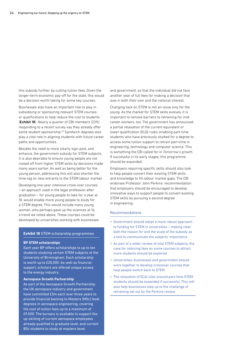this subsidy further, by cutting tuition fees. Given the longer-term economic pay-off for the state, this would be a decision worth taking for some key courses.

Businesses also have an important role to play in subsidising or sponsoring relevant STEM courses or qualifications to help reduce the cost to students (Exhibit 18). Nearly a quarter of CBI members (23%) responding to a recent survey say they already offer some student sponsorship.<sup>69</sup> Sandwich degrees also play a vital role in aligning students with future career paths and opportunities.

Besides the need to more clearly sign-post, and enhance, the government subsidy for STEM subjects, it is also desirable to ensure young people are not closed off from higher STEM skills by decisions made many years earlier. As well as being better for the young person, addressing this will also shorten the time-lag on new entrants to the STEM labour market.

Developing one-year intensive cross-over courses – an approach used in the legal profession after graduation – for young people to take for a year at 18, would enable more young people to study for a STEM degree. This would include many young women, who perhaps gave up the sciences at 16, a trend we noted above. These courses could be developed by universities working with businesses

# **Exhibit 18** STEM scholarship programmes

# **BP STEM scholarships**

Each year BP offers scholarships to up to ten students studying certain STEM subjects at the University of Birmingham. Each scholarship is worth up to £20,000. As well as financial support, scholars are offered unique access to the energy industry.

# **Aerospace Growth Partnership**

As part of the Aerospace Growth Partnership the UK aerospace industry and government have committed £3m each over three years to provide financial backing to Masters (MSc) level degrees in aerospace engineering, covering the cost of tuition fees up to a maximum of £9,500. The bursary is available to support the up-skilling of current aerospace employees already qualified to graduate level, and current BSc students to study at masters level.

and government, so that the individual did not face another year of full fees for making a decision that was in both their own and the national interest.

Changing tack on STEM is not an issue only for the young. As the market for STEM skills evolves, it is important to remove barriers to retraining for midcareer workers, too. The government has announced a partial relaxation of the current equivalent or lower qualification (ELQ) rules, enabling part-time students who have previously studied for a degree to access some tuition support to retrain part-time in engineering, technology and computer science. This is something the CBI called for in *Tomorrow's growth*. If successful in its early stages, this programme should be expanded.

Employers requiring specific skills should also look to help people convert their existing STEM skills and knowledge to fill labour market gaps. The CBI endorses Professor John Perkins' recommendation that employers should be encouraged to develop innovative ways to support people to convert existing STEM skills by pursuing a second degree in engineering.

# Recommendations

- Government should adopt a more robust approach to funding for STEM in universities – making clear both the reason for and the scale of the subsidy as a tool to communicate the subjects' importance
- As part of a wider review of vital STEM subjects, the case for reducing fees on some courses to attract more students should be explored
- Universities, businesses and government should work together to develop crossover courses that help people switch back to STEM
- The relaxation of ELQ rules around part-time STEM students should be expanded if successful. This will also help businesses step up to the challenge of retraining set out by the Perkins review.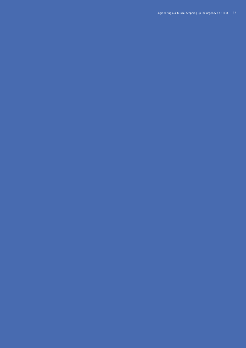Engineering our future: Stepping up the urgency on STEM 25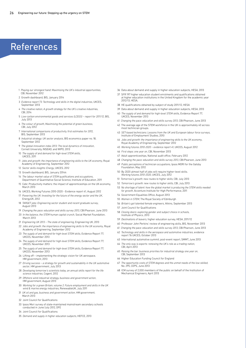# References

- 1 *Playing our strongest hand: Maximising the UK's industrial opportunities,* CBI, November 2012
- 2 Growth dashboard, BIS, January 2014
- 3 *Evidence report 73: Technology and skills in the digital industries*, UKCES, September 2013
- 4 *The creative nation, A growth strategy for the UK's creative industri*es, CBI, 2014
- 5 *Low-carbon environmental goods and services (LCEGS) report for 2011/12*, BIS, July 2013
- 6 *The colour of growth, Maximising the potential of green business*, CBI, July 2012
- 7 *International comparisons of productivity, first estimates for 201*2, BIS, September 2013
- 8 *Industrial strategy: UK sector analysis*, BIS economics paper no. 18, September 2012
- 9 *The global innovation index 2013: The local dynamics of innovation*, Cornell University, INSEAD, and WIPO, 2013
- 10 *The supply of and demand for high-level STEM skills*, UKCES, 2011
- 11 *Jobs and growth: the importance of engineering skills to the UK economy*, Royal Academy of Engineering, September 2012
- 12 *Sector skills insights: Energy*, UKCES, 2012
- 13 Growth dashboard, BIS, January 20144
- 14 *The labour market value of STEM qualifications and occupations*, Department of Quantitative Social Science, Institute of Education, 2011
- 15 Cebr, Productivity matters: the impact of apprenticeships on the UK economy, March 2013
- 16 UKCES, Working Futures 2010-2020 Evidence report 41, August 2012
- 17 *Powering the UK: Investing for the future of the energy sector and the UK*, EnergyUK, 2012
- 18 *TARGET jobs: Engineering sector student and recent graduate survey*, August 2013
- 19 *Changing the pace: education and skills survey 2013*, CBI/Pearson, June 2013
- 20 *In the balance, the STEM human capital crunch*, Social Market Foundation, March 2013
- 21 *Engineering UK 2013 The state of engineering*, Engineering UK, 2013
- 22 *Jobs and growth: the importance of engineering skills to the UK economy*, Royal Academy of Engineering, September 2012
- 23 *The supply of and demand for high-level STEM skills*, Evidence Report 77, UKCES, November 2013
- 24 *The supply of and demand for high-level STEM skills*, Evidence Report 77, UKCES, November 2013
- 25 *The supply of and demand for high-level STEM skills*, Evidence Report 77, UKCES, November 2013
- 26 Lifting off implementing the strategic vision for UK aerospace, HM government, 2013
- 27 *Driving success a strategy for growth and sustainability in the UK automotive sector*, HM government, July 2013
- 28 *Developing tomorrow's scientists today, an annual skills report for the life science industries*, Cogent, 2012
- 29 *Offshore wind industrial strategy, business and government action*, HM government, August 2013
- 30 *Working for a green Britain, volume 2: Future employment and skills in the UK wind & marine energy industrie*s, RenewableUK, July 2011
- 31 *UK oil and gas, business and government action*, HM government, March 2013
- 32 Joint Council for Qualifications
- 33 Ipsos Mori survey of state-maintained mainstream secondary schools conducted in June/July 2012, DFE
- 34 Joint Council for Qualifications
- 35 *Demand and supply in higher education subjects*, HEFCE, 2013
- 36 Data about demand and supply in higher education subjects, HESA, 2013
- 37 SFR 197 higher education student enrolments and qualifications obtained at higher education institutions in the United Kingdom for the academic year 2012/13, HESA,
- 38 HE qualifications obtained by subject of study 2011/12, HESA
- 39 Data about demand and supply in higher education subjects, HESA, 2013
- 40 *The supply of and demand for high-level STEM skill*s, Evidence Report 77, UKCES, November 2013
- 41 *Changing the pace: education and skills survey 2013*, CBI/Pearson, June 2013
- 42 The average age of the STEM workforce in the UK is approximately 40 across most technician groups.
- 43 *SET-based technicians: Lessons from the UK and European labour force surveys*, Institute of Employment Studies, 2010
- 44 *Jobs and growth: the importance of engineering skills to the UK economy*, Royal Academy of Engineering, September 2012
- 45 *Working futures 2010-2020 evidence report 4*1, UKCES, August 2012
- 46 *First steps: one year on*, CBI, November 2013
- 47 Adult apprenticeships, National audit office, February 2012
- 48 *Changing the pace: education and skills survey 2013*, CBI/Pearson, June 2013
- 49 *Public perceptions of technician occupations*, Ipsos MORI for the Gatsby
- 50 By 2020 almost half of jobs will require higher-level skills. *Working futures 2010-2020*, UKCES, July 2012
- 51 *Tomorrow's growth: new routes to higher skills*, CBI, July 2013
- 52 *Tomorrow's growth: new routes to higher skills*, CBI, July 2013
- 53 *No shortage of talent: how the global market is producing the STEM skills needed for growth*, Accenture Institute for High Performance, 2011
- 54 Government Equalities Office, August 2013
- 55 *Women in STEM*, The Royal Society of Edinburgh
- 56 *Britain's got talented female engineers*, Atkins, September 2013
- 57 Joint Council for Qualifications

Foundation, May 2012

- 58 *Closing doors: exploring gender and subject choice in school*s, Institute of Physics, 2013
- 59 *Destinations of leavers,* higher education survey, HESA, 2011/12
- 60 Professor John Perkins' review of engineering skills, BIS, November 2013
- 61 *Changing the pace: education and skills survey 2013*, CBI/Pearson, June 2013
- 62 *Technology and skills in the aerospace and automotive industries*, evidence report 76 UKCES, October 2013
- 63 International automotive summit, post-event report, SMMT, June 2013
- 64 *The only way is exports: renewing the UK's role as a trading nation*,
- CBI, April 2013 65 *Raising the bar: business priorities for industrial strategy one year on*,
- CBI, September 2013
- 66 Higher Education Funding Council for England
- 67 *The opportunity costs of STEM degrees and the unmet needs of the low-skilled*, No. 295, CEPS, June 2013
- 68 ICM survey of 2,000 members of the public on behalf of the Institution of Mechanical Engineers, April 2013